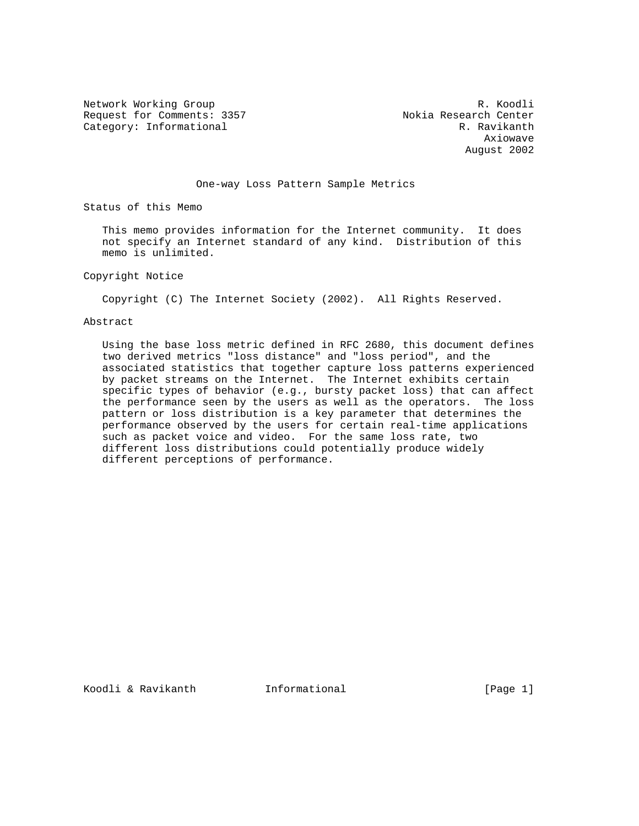Network Working Group and the set of the set of the R. Koodli Request for Comments: 3357 Nokia Research Center Category: Informational R. Ravikanth

 Axiowave August 2002

# One-way Loss Pattern Sample Metrics

Status of this Memo

 This memo provides information for the Internet community. It does not specify an Internet standard of any kind. Distribution of this memo is unlimited.

## Copyright Notice

Copyright (C) The Internet Society (2002). All Rights Reserved.

## Abstract

 Using the base loss metric defined in RFC 2680, this document defines two derived metrics "loss distance" and "loss period", and the associated statistics that together capture loss patterns experienced by packet streams on the Internet. The Internet exhibits certain specific types of behavior (e.g., bursty packet loss) that can affect the performance seen by the users as well as the operators. The loss pattern or loss distribution is a key parameter that determines the performance observed by the users for certain real-time applications such as packet voice and video. For the same loss rate, two different loss distributions could potentially produce widely different perceptions of performance.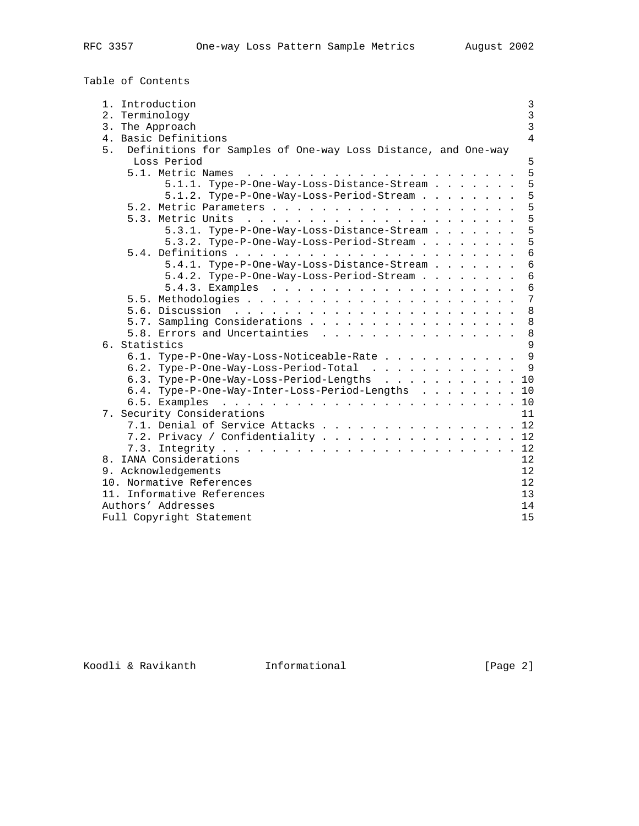Table of Contents

| 1.<br>Introduction<br>2. Terminology                                | 3<br>$\overline{3}$ |
|---------------------------------------------------------------------|---------------------|
| 3. The Approach                                                     | $\overline{3}$      |
| 4. Basic Definitions                                                | 4                   |
| Definitions for Samples of One-way Loss Distance, and One-way<br>5. |                     |
| Loss Period                                                         | 5                   |
| 5.1. Metric Names                                                   | 5                   |
| 5.1.1. Type-P-One-Way-Loss-Distance-Stream                          | 5                   |
|                                                                     | 5                   |
| 5.1.2. Type-P-One-Way-Loss-Period-Stream                            | 5                   |
| 5.3. Metric Units                                                   | 5                   |
|                                                                     | 5                   |
| 5.3.1. Type-P-One-Way-Loss-Distance-Stream                          |                     |
| 5.3.2. Type-P-One-Way-Loss-Period-Stream                            | 5                   |
|                                                                     | $\overline{6}$      |
| 5.4.1. Type-P-One-Way-Loss-Distance-Stream                          | 6                   |
| 5.4.2. Type-P-One-Way-Loss-Period-Stream                            | 6                   |
|                                                                     | 6                   |
|                                                                     | 7                   |
| 5.6. Discussion                                                     | 8                   |
| 5.7. Sampling Considerations                                        | 8                   |
| 5.8. Errors and Uncertainties                                       | 8                   |
| 6. Statistics                                                       | 9                   |
| 6.1. Type-P-One-Way-Loss-Noticeable-Rate                            | 9                   |
| 6.2. Type-P-One-Way-Loss-Period-Total                               | 9                   |
| 6.3. Type-P-One-Way-Loss-Period-Lengths                             | 10                  |
| 6.4. Type-P-One-Way-Inter-Loss-Period-Lengths                       | 10                  |
| 6.5. Examples                                                       | 10                  |
| 7. Security Considerations                                          | 11                  |
| 7.1. Denial of Service Attacks                                      | 12                  |
| 7.2. Privacy / Confidentiality                                      | 12                  |
|                                                                     | 12                  |
| 8. IANA Considerations                                              | 12                  |
| 9. Acknowledgements                                                 | 12                  |
| 10. Normative References                                            | 12                  |
| 11. Informative References                                          | 13                  |
| Authors' Addresses                                                  | 14                  |
| Full Copyright Statement                                            | 15                  |
|                                                                     |                     |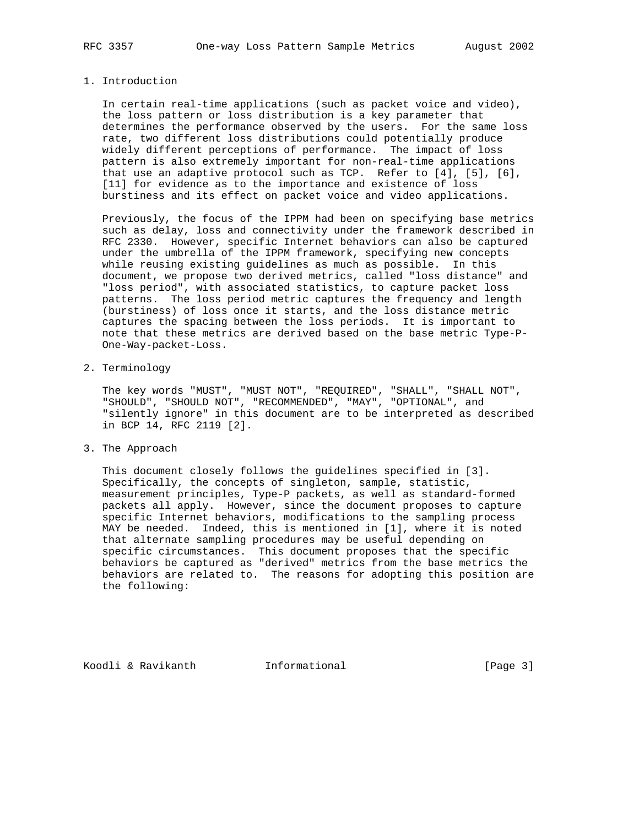#### 1. Introduction

 In certain real-time applications (such as packet voice and video), the loss pattern or loss distribution is a key parameter that determines the performance observed by the users. For the same loss rate, two different loss distributions could potentially produce widely different perceptions of performance. The impact of loss pattern is also extremely important for non-real-time applications that use an adaptive protocol such as TCP. Refer to [4], [5], [6], [11] for evidence as to the importance and existence of loss burstiness and its effect on packet voice and video applications.

 Previously, the focus of the IPPM had been on specifying base metrics such as delay, loss and connectivity under the framework described in RFC 2330. However, specific Internet behaviors can also be captured under the umbrella of the IPPM framework, specifying new concepts while reusing existing guidelines as much as possible. In this document, we propose two derived metrics, called "loss distance" and "loss period", with associated statistics, to capture packet loss patterns. The loss period metric captures the frequency and length (burstiness) of loss once it starts, and the loss distance metric captures the spacing between the loss periods. It is important to note that these metrics are derived based on the base metric Type-P- One-Way-packet-Loss.

2. Terminology

 The key words "MUST", "MUST NOT", "REQUIRED", "SHALL", "SHALL NOT", "SHOULD", "SHOULD NOT", "RECOMMENDED", "MAY", "OPTIONAL", and "silently ignore" in this document are to be interpreted as described in BCP 14, RFC 2119 [2].

3. The Approach

 This document closely follows the guidelines specified in [3]. Specifically, the concepts of singleton, sample, statistic, measurement principles, Type-P packets, as well as standard-formed packets all apply. However, since the document proposes to capture specific Internet behaviors, modifications to the sampling process MAY be needed. Indeed, this is mentioned in [1], where it is noted that alternate sampling procedures may be useful depending on specific circumstances. This document proposes that the specific behaviors be captured as "derived" metrics from the base metrics the behaviors are related to. The reasons for adopting this position are the following:

Koodli & Ravikanth **Informational** [Page 3]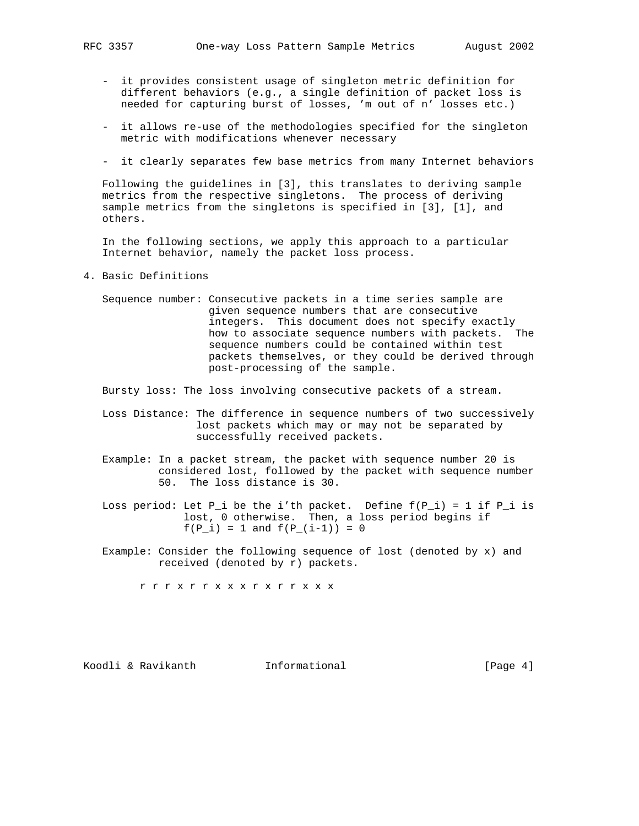- it provides consistent usage of singleton metric definition for different behaviors (e.g., a single definition of packet loss is needed for capturing burst of losses, 'm out of n' losses etc.)
- it allows re-use of the methodologies specified for the singleton metric with modifications whenever necessary
- it clearly separates few base metrics from many Internet behaviors

 Following the guidelines in [3], this translates to deriving sample metrics from the respective singletons. The process of deriving sample metrics from the singletons is specified in [3], [1], and others.

 In the following sections, we apply this approach to a particular Internet behavior, namely the packet loss process.

- 4. Basic Definitions
	- Sequence number: Consecutive packets in a time series sample are given sequence numbers that are consecutive integers. This document does not specify exactly how to associate sequence numbers with packets. The sequence numbers could be contained within test packets themselves, or they could be derived through post-processing of the sample.

Bursty loss: The loss involving consecutive packets of a stream.

- Loss Distance: The difference in sequence numbers of two successively lost packets which may or may not be separated by successfully received packets.
- Example: In a packet stream, the packet with sequence number 20 is considered lost, followed by the packet with sequence number 50. The loss distance is 30.
- Loss period: Let P\_i be the i'th packet. Define f(P\_i) = 1 if P\_i is lost, 0 otherwise. Then, a loss period begins if  $f(P_i) = 1$  and  $f(P_i(i-1)) = 0$ 
	- Example: Consider the following sequence of lost (denoted by x) and received (denoted by r) packets.

r r r x r r x x x r x r r x x x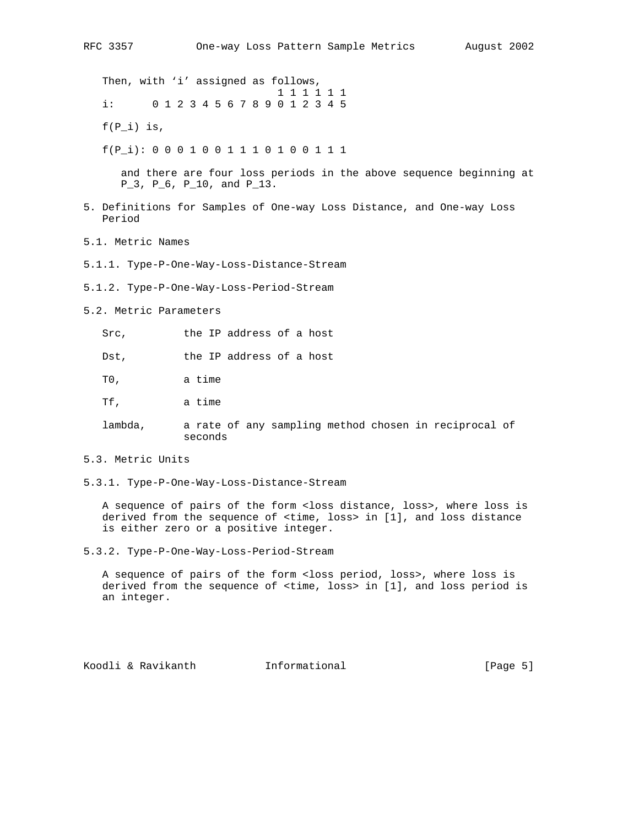Then, with 'i' assigned as follows, 1 1 1 1 1 1 i: 0 1 2 3 4 5 6 7 8 9 0 1 2 3 4 5

 $f(P_i)$  is,

f(P\_i): 0 0 0 1 0 0 1 1 1 0 1 0 0 1 1 1

 and there are four loss periods in the above sequence beginning at P\_3, P\_6, P\_10, and P\_13.

- 5. Definitions for Samples of One-way Loss Distance, and One-way Loss Period
- 5.1. Metric Names
- 5.1.1. Type-P-One-Way-Loss-Distance-Stream
- 5.1.2. Type-P-One-Way-Loss-Period-Stream
- 5.2. Metric Parameters

Src, the IP address of a host

Dst, the IP address of a host

T0, a time

- Tf, a time
- lambda, a rate of any sampling method chosen in reciprocal of seconds
- 5.3. Metric Units
- 5.3.1. Type-P-One-Way-Loss-Distance-Stream

 A sequence of pairs of the form <loss distance, loss>, where loss is derived from the sequence of <time, loss> in [1], and loss distance is either zero or a positive integer.

5.3.2. Type-P-One-Way-Loss-Period-Stream

 A sequence of pairs of the form <loss period, loss>, where loss is derived from the sequence of <time, loss> in [1], and loss period is an integer.

Koodli & Ravikanth **Informational Informational** [Page 5]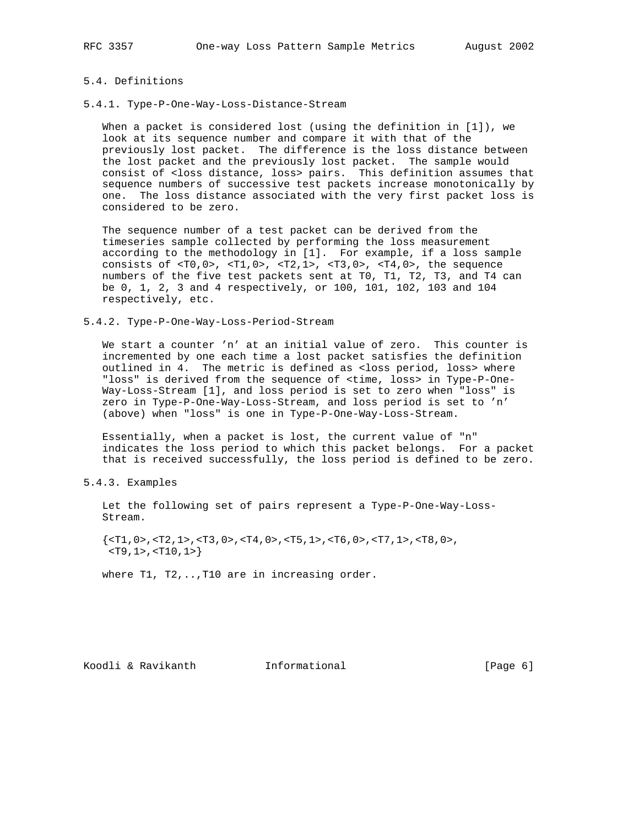# 5.4. Definitions

5.4.1. Type-P-One-Way-Loss-Distance-Stream

 When a packet is considered lost (using the definition in [1]), we look at its sequence number and compare it with that of the previously lost packet. The difference is the loss distance between the lost packet and the previously lost packet. The sample would consist of <loss distance, loss> pairs. This definition assumes that sequence numbers of successive test packets increase monotonically by one. The loss distance associated with the very first packet loss is considered to be zero.

 The sequence number of a test packet can be derived from the timeseries sample collected by performing the loss measurement according to the methodology in [1]. For example, if a loss sample consists of <T0,0>, <T1,0>, <T2,1>, <T3,0>, <T4,0>, the sequence numbers of the five test packets sent at T0, T1, T2, T3, and T4 can be 0, 1, 2, 3 and 4 respectively, or 100, 101, 102, 103 and 104 respectively, etc.

5.4.2. Type-P-One-Way-Loss-Period-Stream

 We start a counter 'n' at an initial value of zero. This counter is incremented by one each time a lost packet satisfies the definition outlined in 4. The metric is defined as <loss period, loss> where "loss" is derived from the sequence of <time, loss> in Type-P-One- Way-Loss-Stream [1], and loss period is set to zero when "loss" is zero in Type-P-One-Way-Loss-Stream, and loss period is set to 'n' (above) when "loss" is one in Type-P-One-Way-Loss-Stream.

 Essentially, when a packet is lost, the current value of "n" indicates the loss period to which this packet belongs. For a packet that is received successfully, the loss period is defined to be zero.

5.4.3. Examples

 Let the following set of pairs represent a Type-P-One-Way-Loss- Stream.

 $\{$  <T1, 0>, <T2, 1>, <T3, 0>, <T4, 0>, <T5, 1>, <T6, 0>, <T7, 1>, <T8, 0>, <T9,1>,<T10,1>}

where T1, T2,.., T10 are in increasing order.

Koodli & Ravikanth **Informational** [Page 6]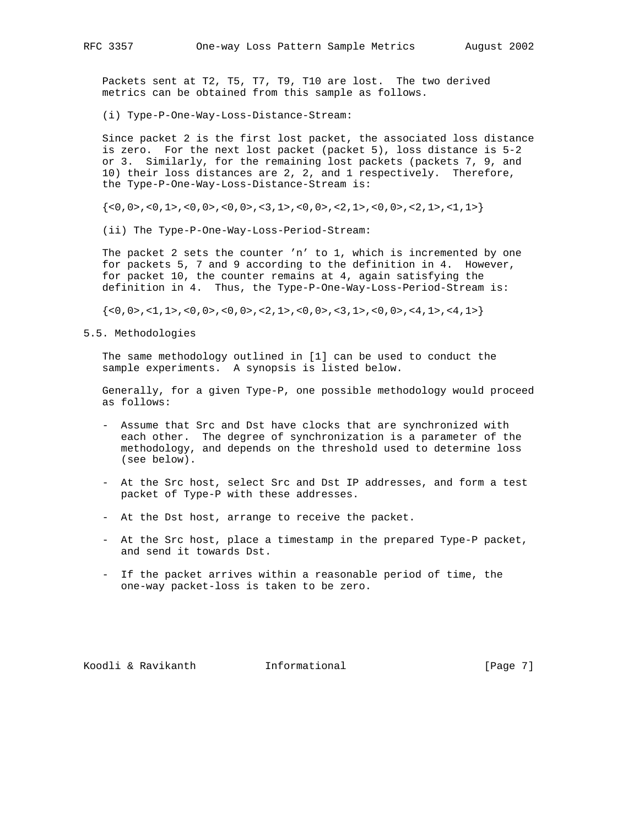Packets sent at T2, T5, T7, T9, T10 are lost. The two derived metrics can be obtained from this sample as follows.

(i) Type-P-One-Way-Loss-Distance-Stream:

 Since packet 2 is the first lost packet, the associated loss distance is zero. For the next lost packet (packet 5), loss distance is 5-2 or 3. Similarly, for the remaining lost packets (packets 7, 9, and 10) their loss distances are 2, 2, and 1 respectively. Therefore, the Type-P-One-Way-Loss-Distance-Stream is:

 $\{<0,0>, <0,1>, <0,0>, <0,0>, <0,0>, <1,1,1\}$ 

(ii) The Type-P-One-Way-Loss-Period-Stream:

 The packet 2 sets the counter 'n' to 1, which is incremented by one for packets 5, 7 and 9 according to the definition in 4. However, for packet 10, the counter remains at 4, again satisfying the definition in 4. Thus, the Type-P-One-Way-Loss-Period-Stream is:

{<0,0>,<1,1>,<0,0>,<0,0>,<2,1>,<0,0>,<3,1>,<0,0>,<4,1>,<4,1>}

5.5. Methodologies

 The same methodology outlined in [1] can be used to conduct the sample experiments. A synopsis is listed below.

 Generally, for a given Type-P, one possible methodology would proceed as follows:

- Assume that Src and Dst have clocks that are synchronized with each other. The degree of synchronization is a parameter of the methodology, and depends on the threshold used to determine loss (see below).
- At the Src host, select Src and Dst IP addresses, and form a test packet of Type-P with these addresses.
- At the Dst host, arrange to receive the packet.
- At the Src host, place a timestamp in the prepared Type-P packet, and send it towards Dst.
- If the packet arrives within a reasonable period of time, the one-way packet-loss is taken to be zero.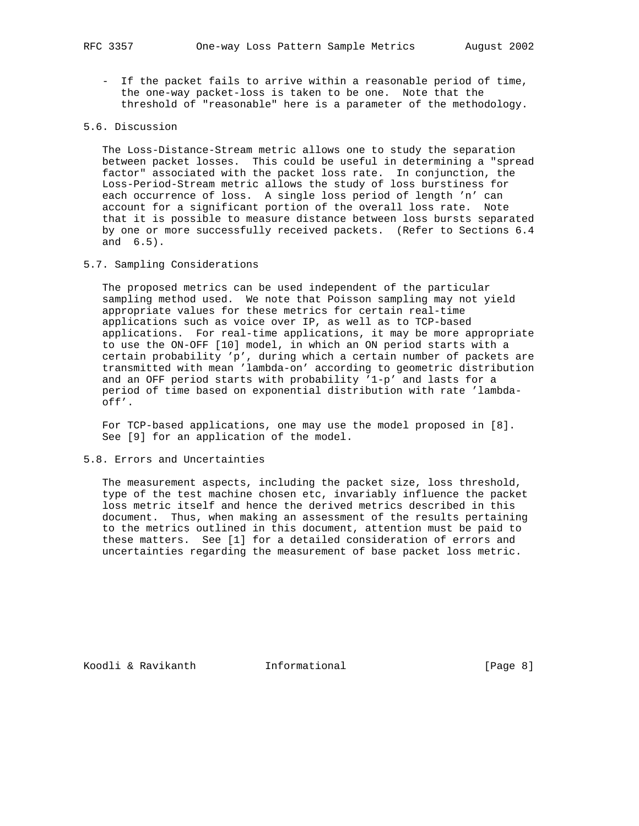- If the packet fails to arrive within a reasonable period of time, the one-way packet-loss is taken to be one. Note that the threshold of "reasonable" here is a parameter of the methodology.

# 5.6. Discussion

 The Loss-Distance-Stream metric allows one to study the separation between packet losses. This could be useful in determining a "spread factor" associated with the packet loss rate. In conjunction, the Loss-Period-Stream metric allows the study of loss burstiness for each occurrence of loss. A single loss period of length 'n' can account for a significant portion of the overall loss rate. Note that it is possible to measure distance between loss bursts separated by one or more successfully received packets. (Refer to Sections 6.4 and 6.5).

## 5.7. Sampling Considerations

 The proposed metrics can be used independent of the particular sampling method used. We note that Poisson sampling may not yield appropriate values for these metrics for certain real-time applications such as voice over IP, as well as to TCP-based applications. For real-time applications, it may be more appropriate to use the ON-OFF [10] model, in which an ON period starts with a certain probability 'p', during which a certain number of packets are transmitted with mean 'lambda-on' according to geometric distribution and an OFF period starts with probability '1-p' and lasts for a period of time based on exponential distribution with rate 'lambda off'.

 For TCP-based applications, one may use the model proposed in [8]. See [9] for an application of the model.

### 5.8. Errors and Uncertainties

 The measurement aspects, including the packet size, loss threshold, type of the test machine chosen etc, invariably influence the packet loss metric itself and hence the derived metrics described in this document. Thus, when making an assessment of the results pertaining to the metrics outlined in this document, attention must be paid to these matters. See [1] for a detailed consideration of errors and uncertainties regarding the measurement of base packet loss metric.

Koodli & Ravikanth **Informational** [Page 8]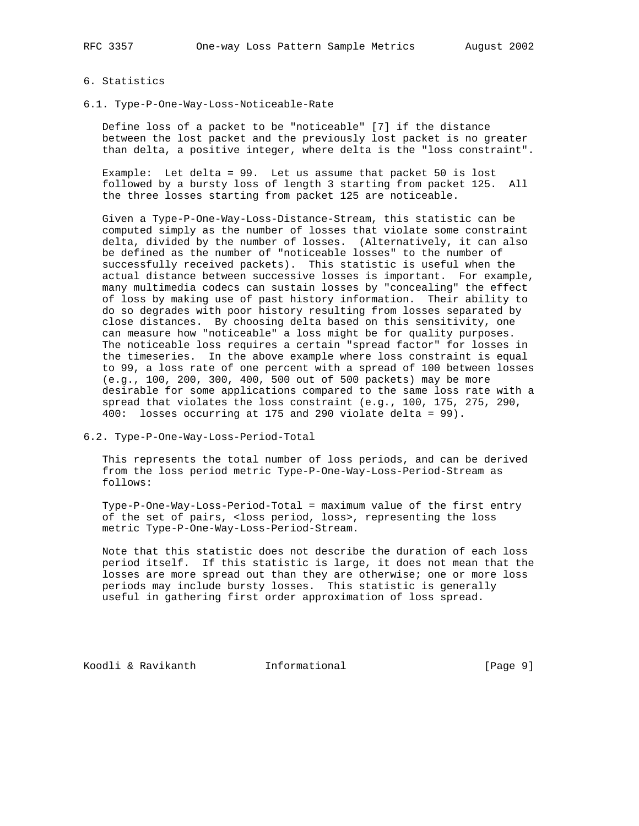# 6. Statistics

6.1. Type-P-One-Way-Loss-Noticeable-Rate

 Define loss of a packet to be "noticeable" [7] if the distance between the lost packet and the previously lost packet is no greater than delta, a positive integer, where delta is the "loss constraint".

 Example: Let delta = 99. Let us assume that packet 50 is lost followed by a bursty loss of length 3 starting from packet 125. All the three losses starting from packet 125 are noticeable.

 Given a Type-P-One-Way-Loss-Distance-Stream, this statistic can be computed simply as the number of losses that violate some constraint delta, divided by the number of losses. (Alternatively, it can also be defined as the number of "noticeable losses" to the number of successfully received packets). This statistic is useful when the actual distance between successive losses is important. For example, many multimedia codecs can sustain losses by "concealing" the effect of loss by making use of past history information. Their ability to do so degrades with poor history resulting from losses separated by close distances. By choosing delta based on this sensitivity, one can measure how "noticeable" a loss might be for quality purposes. The noticeable loss requires a certain "spread factor" for losses in the timeseries. In the above example where loss constraint is equal to 99, a loss rate of one percent with a spread of 100 between losses (e.g., 100, 200, 300, 400, 500 out of 500 packets) may be more desirable for some applications compared to the same loss rate with a spread that violates the loss constraint (e.g., 100, 175, 275, 290, 400: losses occurring at 175 and 290 violate delta = 99).

6.2. Type-P-One-Way-Loss-Period-Total

 This represents the total number of loss periods, and can be derived from the loss period metric Type-P-One-Way-Loss-Period-Stream as follows:

 Type-P-One-Way-Loss-Period-Total = maximum value of the first entry of the set of pairs, <loss period, loss>, representing the loss metric Type-P-One-Way-Loss-Period-Stream.

 Note that this statistic does not describe the duration of each loss period itself. If this statistic is large, it does not mean that the losses are more spread out than they are otherwise; one or more loss periods may include bursty losses. This statistic is generally useful in gathering first order approximation of loss spread.

Koodli & Ravikanth **Informational** [Page 9]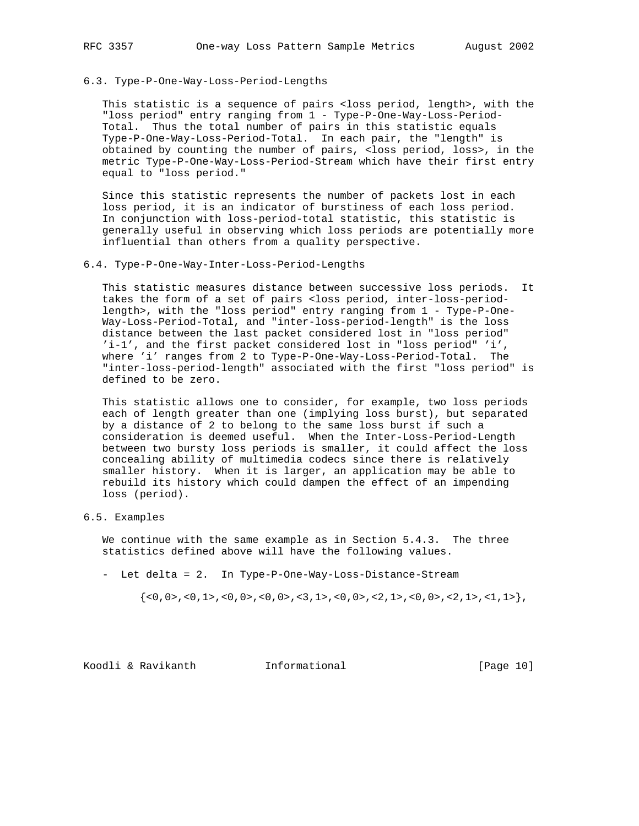6.3. Type-P-One-Way-Loss-Period-Lengths

 This statistic is a sequence of pairs <loss period, length>, with the "loss period" entry ranging from 1 - Type-P-One-Way-Loss-Period- Total. Thus the total number of pairs in this statistic equals Type-P-One-Way-Loss-Period-Total. In each pair, the "length" is obtained by counting the number of pairs, <loss period, loss>, in the metric Type-P-One-Way-Loss-Period-Stream which have their first entry equal to "loss period."

 Since this statistic represents the number of packets lost in each loss period, it is an indicator of burstiness of each loss period. In conjunction with loss-period-total statistic, this statistic is generally useful in observing which loss periods are potentially more influential than others from a quality perspective.

6.4. Type-P-One-Way-Inter-Loss-Period-Lengths

 This statistic measures distance between successive loss periods. It takes the form of a set of pairs <loss period, inter-loss-period length>, with the "loss period" entry ranging from 1 - Type-P-One- Way-Loss-Period-Total, and "inter-loss-period-length" is the loss distance between the last packet considered lost in "loss period" 'i-1', and the first packet considered lost in "loss period" 'i', where 'i' ranges from 2 to Type-P-One-Way-Loss-Period-Total. The "inter-loss-period-length" associated with the first "loss period" is defined to be zero.

 This statistic allows one to consider, for example, two loss periods each of length greater than one (implying loss burst), but separated by a distance of 2 to belong to the same loss burst if such a consideration is deemed useful. When the Inter-Loss-Period-Length between two bursty loss periods is smaller, it could affect the loss concealing ability of multimedia codecs since there is relatively smaller history. When it is larger, an application may be able to rebuild its history which could dampen the effect of an impending loss (period).

6.5. Examples

 We continue with the same example as in Section 5.4.3. The three statistics defined above will have the following values.

- Let delta = 2. In Type-P-One-Way-Loss-Distance-Stream

 $\{<0,0>, <0,1>, <0,0>, <0,0>, <0,0>, <1,1>, <0,0,0,1,1\}$ 

Koodli & Ravikanth **Informational** [Page 10]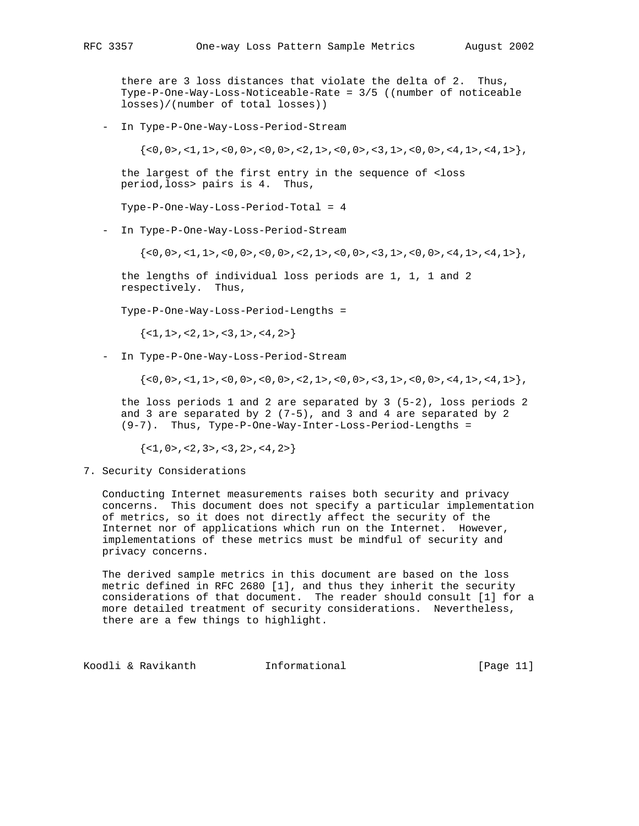there are 3 loss distances that violate the delta of 2. Thus, Type-P-One-Way-Loss-Noticeable-Rate = 3/5 ((number of noticeable losses)/(number of total losses))

- In Type-P-One-Way-Loss-Period-Stream

 $\{<0,0>, <1,1>, <0,0>, <0,0>, <0,0>, <2,1>, <0,0>, <3,1>, <0,0>, <4,1>, <4,1> \}$ 

 the largest of the first entry in the sequence of <loss period,loss> pairs is 4. Thus,

Type-P-One-Way-Loss-Period-Total = 4

- In Type-P-One-Way-Loss-Period-Stream

 $\{<0,0>, c<1,1>, c<0,0>, c<1,0>, c<0,0>, c<2,1>, c<0,0>, c<3,1>, c<0,0>, c<4,1>, c<4,1\}$ 

 the lengths of individual loss periods are 1, 1, 1 and 2 respectively. Thus,

Type-P-One-Way-Loss-Period-Lengths =

 $\{<1, 1>, <2, 1>, <3, 1>, <4, 2>\}$ 

- In Type-P-One-Way-Loss-Period-Stream

{<0,0>,<1,1>,<0,0>,<0,0>,<2,1>,<0,0>,<3,1>,<0,0>,<4,1>,<4,1>},

 the loss periods 1 and 2 are separated by 3 (5-2), loss periods 2 and 3 are separated by 2  $(7-5)$ , and 3 and 4 are separated by 2 (9-7). Thus, Type-P-One-Way-Inter-Loss-Period-Lengths =

 $\{<1, 0>, <2, 3>, <3, 2>, <4, 2\}$ 

7. Security Considerations

 Conducting Internet measurements raises both security and privacy concerns. This document does not specify a particular implementation of metrics, so it does not directly affect the security of the Internet nor of applications which run on the Internet. However, implementations of these metrics must be mindful of security and privacy concerns.

 The derived sample metrics in this document are based on the loss metric defined in RFC 2680 [1], and thus they inherit the security considerations of that document. The reader should consult [1] for a more detailed treatment of security considerations. Nevertheless, there are a few things to highlight.

Koodli & Ravikanth Informational [Page 11]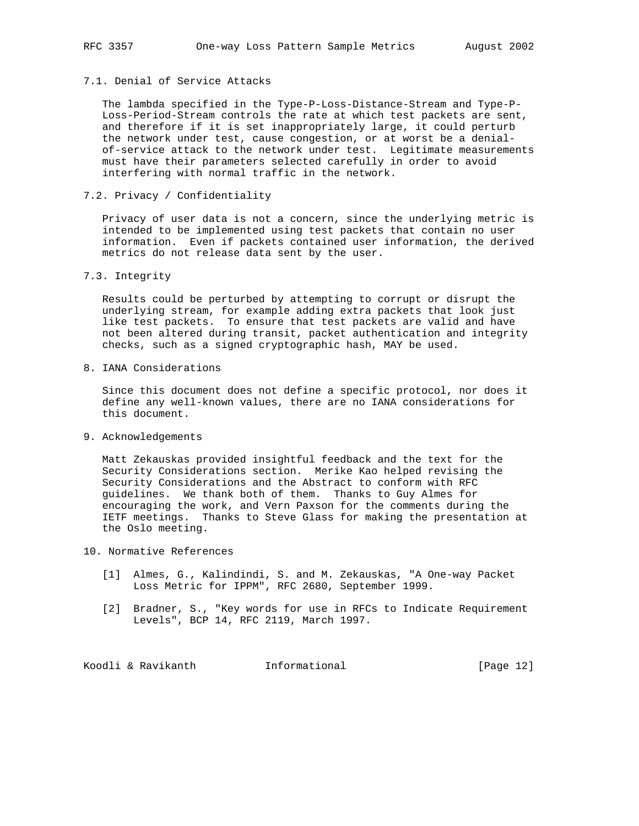# 7.1. Denial of Service Attacks

 The lambda specified in the Type-P-Loss-Distance-Stream and Type-P- Loss-Period-Stream controls the rate at which test packets are sent, and therefore if it is set inappropriately large, it could perturb the network under test, cause congestion, or at worst be a denial of-service attack to the network under test. Legitimate measurements must have their parameters selected carefully in order to avoid interfering with normal traffic in the network.

7.2. Privacy / Confidentiality

 Privacy of user data is not a concern, since the underlying metric is intended to be implemented using test packets that contain no user information. Even if packets contained user information, the derived metrics do not release data sent by the user.

7.3. Integrity

 Results could be perturbed by attempting to corrupt or disrupt the underlying stream, for example adding extra packets that look just like test packets. To ensure that test packets are valid and have not been altered during transit, packet authentication and integrity checks, such as a signed cryptographic hash, MAY be used.

8. IANA Considerations

 Since this document does not define a specific protocol, nor does it define any well-known values, there are no IANA considerations for this document.

9. Acknowledgements

 Matt Zekauskas provided insightful feedback and the text for the Security Considerations section. Merike Kao helped revising the Security Considerations and the Abstract to conform with RFC guidelines. We thank both of them. Thanks to Guy Almes for encouraging the work, and Vern Paxson for the comments during the IETF meetings. Thanks to Steve Glass for making the presentation at the Oslo meeting.

- 10. Normative References
	- [1] Almes, G., Kalindindi, S. and M. Zekauskas, "A One-way Packet Loss Metric for IPPM", RFC 2680, September 1999.
	- [2] Bradner, S., "Key words for use in RFCs to Indicate Requirement Levels", BCP 14, RFC 2119, March 1997.

Koodli & Ravikanth **Informational** [Page 12]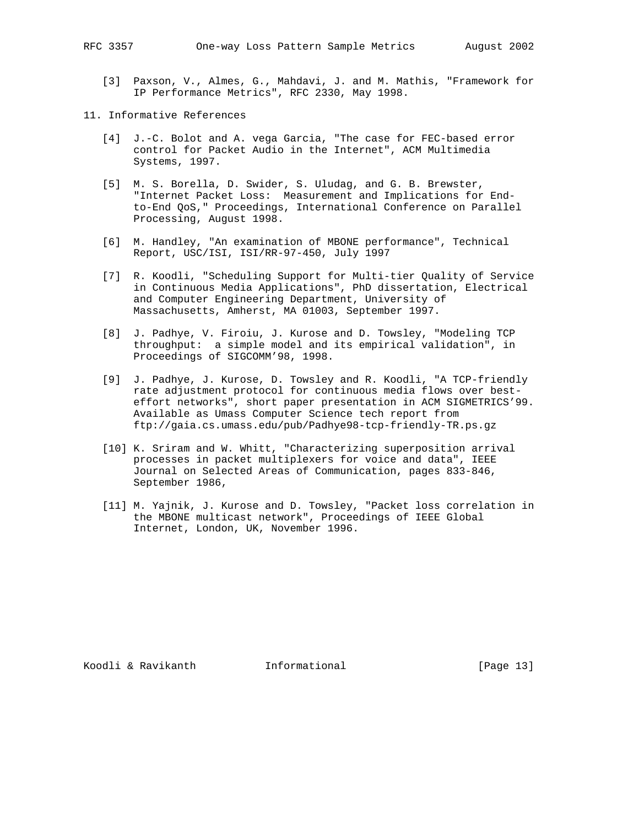- [3] Paxson, V., Almes, G., Mahdavi, J. and M. Mathis, "Framework for IP Performance Metrics", RFC 2330, May 1998.
- 11. Informative References
	- [4] J.-C. Bolot and A. vega Garcia, "The case for FEC-based error control for Packet Audio in the Internet", ACM Multimedia Systems, 1997.
	- [5] M. S. Borella, D. Swider, S. Uludag, and G. B. Brewster, "Internet Packet Loss: Measurement and Implications for End to-End QoS," Proceedings, International Conference on Parallel Processing, August 1998.
	- [6] M. Handley, "An examination of MBONE performance", Technical Report, USC/ISI, ISI/RR-97-450, July 1997
	- [7] R. Koodli, "Scheduling Support for Multi-tier Quality of Service in Continuous Media Applications", PhD dissertation, Electrical and Computer Engineering Department, University of Massachusetts, Amherst, MA 01003, September 1997.
	- [8] J. Padhye, V. Firoiu, J. Kurose and D. Towsley, "Modeling TCP throughput: a simple model and its empirical validation", in Proceedings of SIGCOMM'98, 1998.
	- [9] J. Padhye, J. Kurose, D. Towsley and R. Koodli, "A TCP-friendly rate adjustment protocol for continuous media flows over best effort networks", short paper presentation in ACM SIGMETRICS'99. Available as Umass Computer Science tech report from ftp://gaia.cs.umass.edu/pub/Padhye98-tcp-friendly-TR.ps.gz
	- [10] K. Sriram and W. Whitt, "Characterizing superposition arrival processes in packet multiplexers for voice and data", IEEE Journal on Selected Areas of Communication, pages 833-846, September 1986,
	- [11] M. Yajnik, J. Kurose and D. Towsley, "Packet loss correlation in the MBONE multicast network", Proceedings of IEEE Global Internet, London, UK, November 1996.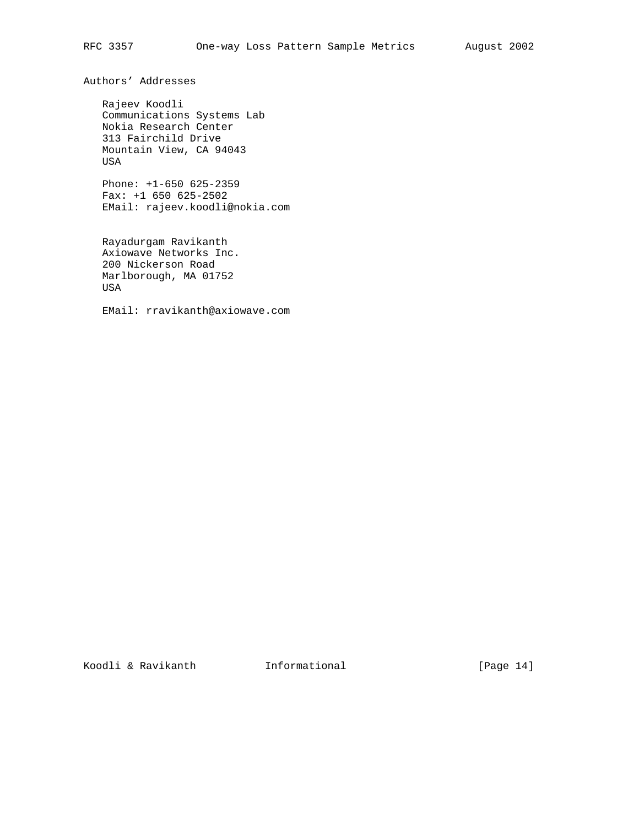Authors' Addresses

 Rajeev Koodli Communications Systems Lab Nokia Research Center 313 Fairchild Drive Mountain View, CA 94043 USA

 Phone: +1-650 625-2359 Fax: +1 650 625-2502 EMail: rajeev.koodli@nokia.com

 Rayadurgam Ravikanth Axiowave Networks Inc. 200 Nickerson Road Marlborough, MA 01752 USA

EMail: rravikanth@axiowave.com